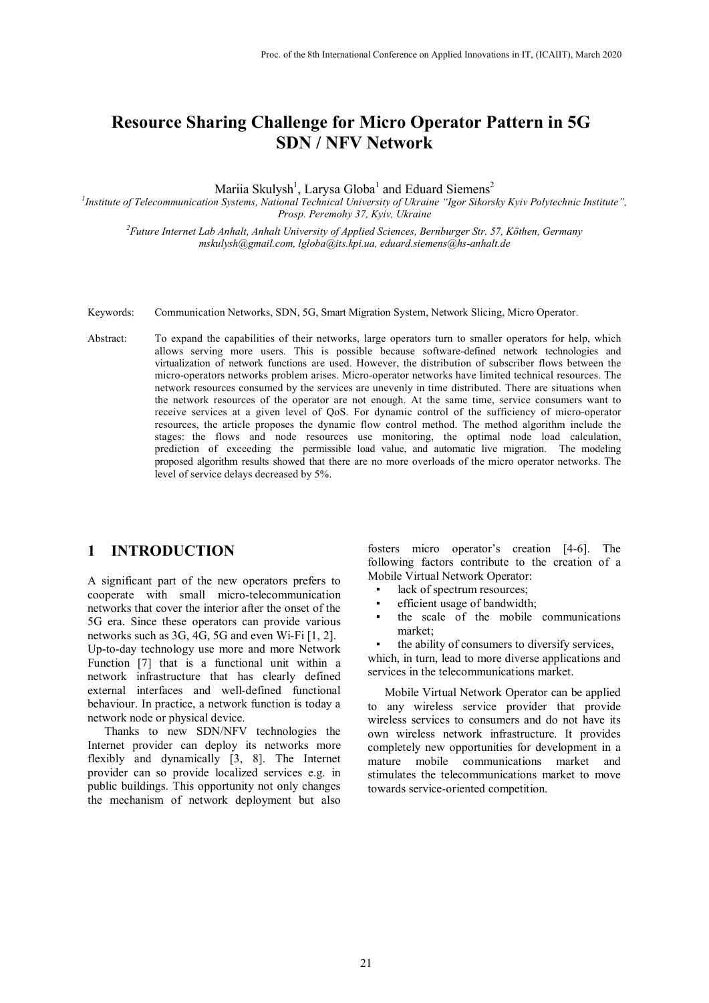# **Resource Sharing Challenge for Micro Operator Pattern in 5G SDN / NFV Network**

Mariia Skulysh<sup>1</sup>, Larysa Globa $^1$  and Eduard Siemens<sup>2</sup>

*1 Institute of Telecommunication Systems, National Technical University of Ukraine ["Igor Sikorsky Kyiv Polytechnic Institute",](https://kpi.ua/contact) Prosp. Peremohy 37, Kyiv, Ukraine*

*<sup>2</sup>Future Internet Lab Anhalt, Anhalt University of Applied Sciences, Bernburger Str. 57, Köthen, Germany msk[ulysh@gmail.com,](mailto:mskulysh@gmail.com) [lgloba@its.kpi.ua,](mailto:lgloba@its.kpi.ua) edu[ard.siemens@hs-anhalt.de](mailto:eduard.siemens@hs-anhalt.de)*

- Keywords: Communication Networks, SDN, 5G, Smart Migration System, Network Slicing, Micro Operator.
- Abstract: To expand the capabilities of their networks, large operators turn to smaller operators for help, which allows serving more users. This is possible because software-defined network technologies and virtualization of network functions are used. However, the distribution of subscriber flows between the micro-operators networks problem arises. Micro-operator networks have limited technical resources. The network resources consumed by the services are unevenly in time distributed. There are situations when the network resources of the operator are not enough. At the same time, service consumers want to receive services at a given level of QoS. For dynamic control of the sufficiency of micro-operator resources, the article proposes the dynamic flow control method. The method algorithm include the stages: the flows and node resources use monitoring, the optimal node load calculation, prediction of exceeding the permissible load value, and automatic live migration. The modeling proposed algorithm results showed that there are no more overloads of the micro operator networks. The level of service delays decreased by 5%.

#### **1 INTRODUCTION**

A significant part of the new operators prefers to cooperate with small micro-telecommunication networks that cover the interior after the onset of the 5G era. Since these operators can provide various networks such as 3G, 4G, 5G and even Wi-Fi [1, 2]. Up-to-day technology use more and more Network Function [7] that is a functional unit within a network infrastructure that has clearly defined external interfaces and well-defined functional behaviour. In practice, a network function is today a network node or physical device.

Thanks to new SDN/NFV technologies the Internet provider can deploy its networks more flexibly and dynamically [3, 8]. The Internet provider can so provide localized services e.g. in public buildings. This opportunity not only changes the mechanism of network deployment but also

fosters micro operator's creation [4-6]. The following factors contribute to the creation of a Mobile Virtual Network Operator:

- lack of spectrum resources;
- efficient usage of bandwidth;
- the scale of the mobile communications market;

the ability of consumers to diversify services,

which, in turn, lead to more diverse applications and services in the telecommunications market.

Mobile Virtual Network Operator can be applied to any wireless service provider that provide wireless services to consumers and do not have its own wireless network infrastructure. It provides completely new opportunities for development in a mature mobile communications market and stimulates the telecommunications market to move towards service-oriented competition.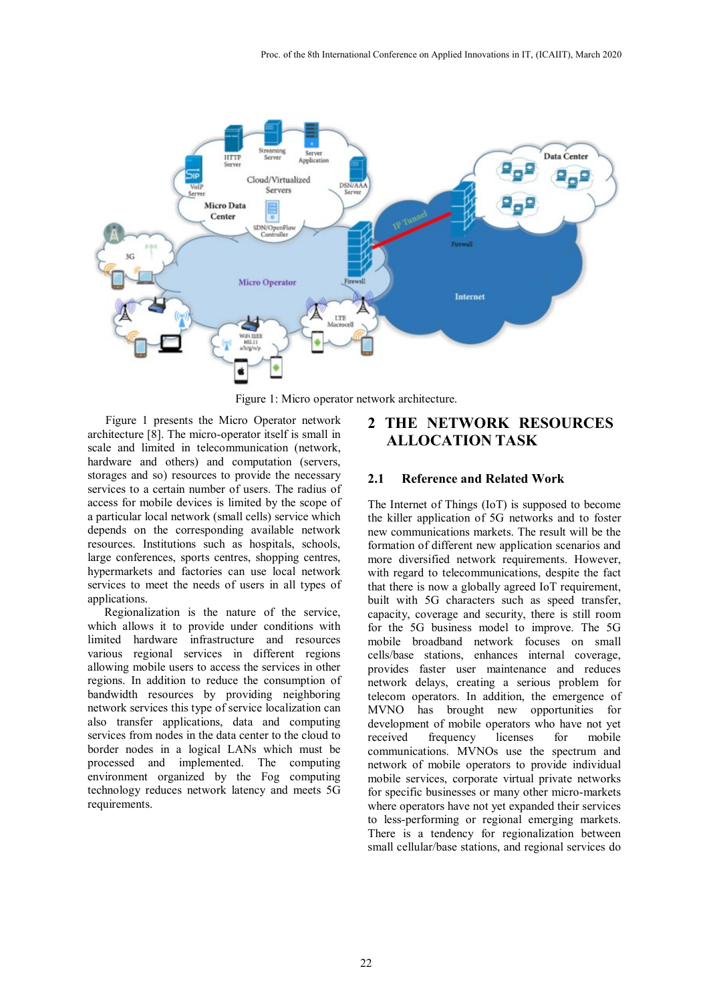

Figure 1: Micro operator network architecture.

Figure 1 presents the Micro Operator network architecture [8]. The micro-operator itself is small in scale and limited in telecommunication (network, hardware and others) and computation (servers, storages and so) resources to provide the necessary services to a certain number of users. The radius of access for mobile devices is limited by the scope of a particular local network (small cells) service which depends on the corresponding available network resources. Institutions such as hospitals, schools, large conferences, sports centres, shopping centres, hypermarkets and factories can use local network services to meet the needs of users in all types of applications.

Regionalization is the nature of the service, which allows it to provide under conditions with limited hardware infrastructure and resources various regional services in different regions allowing mobile users to access the services in other regions. In addition to reduce the consumption of bandwidth resources by providing neighboring network services this type of service localization can also transfer applications, data and computing services from nodes in the data center to the cloud to border nodes in a logical LANs which must be processed and implemented. The computing environment organized by the Fog computing technology reduces network latency and meets 5G requirements.

## **2 THE NETWORK RESOURCES ALLOCATION TASK**

#### **2.1 Reference and Related Work**

The Internet of Things (IoT) is supposed to become the killer application of 5G networks and to foster new communications markets. The result will be the formation of different new application scenarios and more diversified network requirements. However, with regard to telecommunications, despite the fact that there is now a globally agreed IoT requirement, built with 5G characters such as speed transfer, capacity, coverage and security, there is still room for the 5G business model to improve. The 5G mobile broadband network focuses on small cells/base stations, enhances internal coverage, provides faster user maintenance and reduces network delays, creating a serious problem for telecom operators. In addition, the emergence of MVNO has brought new opportunities for development of mobile operators who have not yet received frequency licenses for mobile communications. MVNOs use the spectrum and network of mobile operators to provide individual mobile services, corporate virtual private networks for specific businesses or many other micro-markets where operators have not yet expanded their services to less-performing or regional emerging markets. There is a tendency for regionalization between small cellular/base stations, and regional services do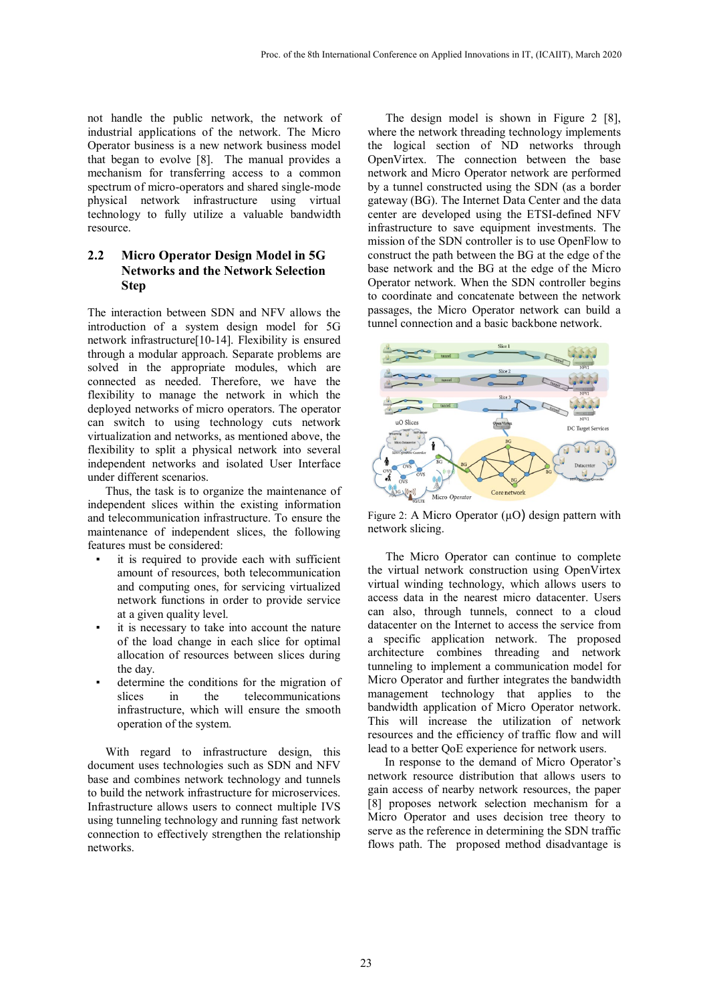not handle the public network, the network of industrial applications of the network. The Micro Operator business is a new network business model that began to evolve [8]. The manual provides a mechanism for transferring access to a common spectrum of micro-operators and shared single-mode physical network infrastructure using virtual technology to fully utilize a valuable bandwidth resource.

#### **2.2 Micro Operator Design Model in 5G Networks and the Network Selection Step**

The interaction between SDN and NFV allows the introduction of a system design model for 5G network infrastructure[10-14]. Flexibility is ensured through a modular approach. Separate problems are solved in the appropriate modules, which are connected as needed. Therefore, we have the flexibility to manage the network in which the deployed networks of micro operators. The operator can switch to using technology cuts network virtualization and networks, as mentioned above, the flexibility to split a physical network into several independent networks and isolated User Interface under different scenarios.

Thus, the task is to organize the maintenance of independent slices within the existing information and telecommunication infrastructure. To ensure the maintenance of independent slices, the following features must be considered:

- it is required to provide each with sufficient amount of resources, both telecommunication and computing ones, for servicing virtualized network functions in order to provide service at a given quality level.
- it is necessary to take into account the nature of the load change in each slice for optimal allocation of resources between slices during the day.
- determine the conditions for the migration of slices in the telecommunications infrastructure, which will ensure the smooth operation of the system.

With regard to infrastructure design, this document uses technologies such as SDN and NFV base and combines network technology and tunnels to build the network infrastructure for microservices. Infrastructure allows users to connect multiple IVS using tunneling technology and running fast network connection to effectively strengthen the relationship networks.

The design model is shown in Figure 2 [8], where the network threading technology implements the logical section of ND networks through OpenVirtex. The connection between the base network and Micro Operator network are performed by a tunnel constructed using the SDN (as a border gateway (BG). The Internet Data Center and the data center are developed using the ETSI-defined NFV infrastructure to save equipment investments. The mission of the SDN controller is to use OpenFlow to construct the path between the BG at the edge of the base network and the BG at the edge of the Micro Operator network. When the SDN controller begins to coordinate and concatenate between the network passages, the Micro Operator network can build a tunnel connection and a basic backbone network.



Figure 2: A Micro Operator  $(\mu O)$  design pattern with network slicing.

The Micro Operator can continue to complete the virtual network construction using OpenVirtex virtual winding technology, which allows users to access data in the nearest micro datacenter. Users can also, through tunnels, connect to a cloud datacenter on the Internet to access the service from a specific application network. The proposed architecture combines threading and network tunneling to implement a communication model for Micro Operator and further integrates the bandwidth management technology that applies to the bandwidth application of Micro Operator network. This will increase the utilization of network resources and the efficiency of traffic flow and will lead to a better QoE experience for network users.

In response to the demand of Micro Operator's network resource distribution that allows users to gain access of nearby network resources, the paper [8] proposes network selection mechanism for a Micro Operator and uses decision tree theory to serve as the reference in determining the SDN traffic flows path. The proposed method disadvantage is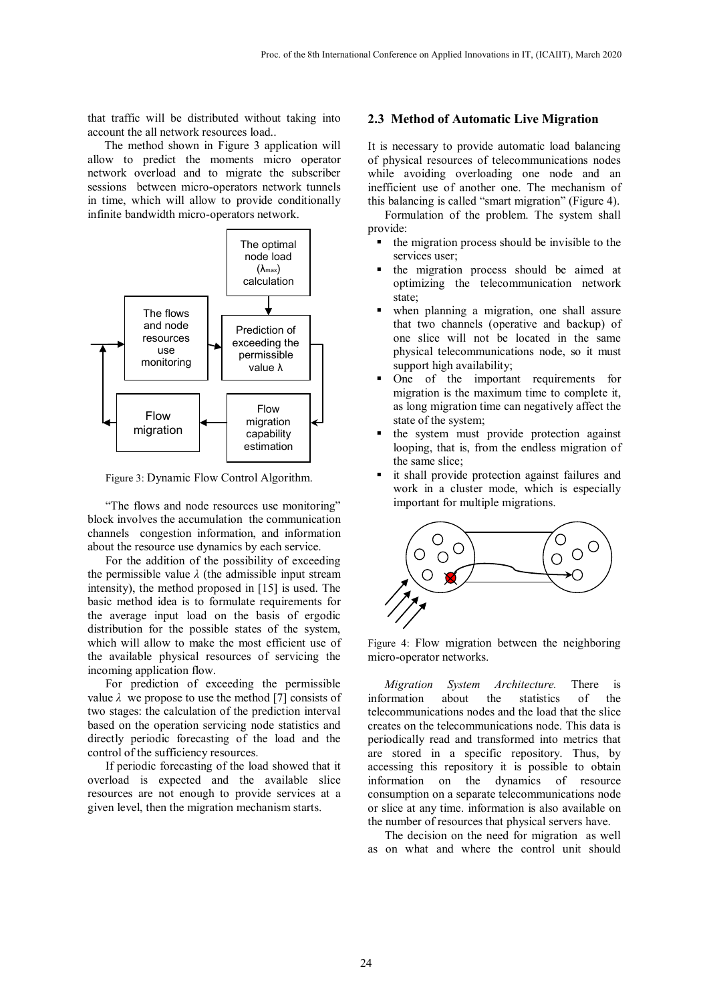that traffic will be distributed without taking into account the all network resources load..

The method shown in Figure 3 application will allow to predict the moments micro operator network overload and to migrate the subscriber sessions between micro-operators network tunnels in time, which will allow to provide conditionally infinite bandwidth micro-operators network.



Figure 3: Dynamic Flow Control Algorithm.

"The flows and node resources use monitoring" block involves the accumulation the communication channels congestion information, and information about the resource use dynamics by each service.

For the addition of the possibility of exceeding the permissible value  $\lambda$  (the admissible input stream intensity), the method proposed in [15] is used. The basic method idea is to formulate requirements for the average input load on the basis of ergodic distribution for the possible states of the system, which will allow to make the most efficient use of the available physical resources of servicing the incoming application flow.

For prediction of exceeding the permissible value  $\lambda$  we propose to use the method [7] consists of two stages: the calculation of the prediction interval based on the operation servicing node statistics and directly periodic forecasting of the load and the control of the sufficiency resources.

If periodic forecasting of the load showed that it overload is expected and the available slice resources are not enough to provide services at a given level, then the migration mechanism starts.

#### **2.3 Method of Automatic Live Migration**

It is necessary to provide automatic load balancing of physical resources of telecommunications nodes while avoiding overloading one node and an inefficient use of another one. The mechanism of this balancing is called "smart migration" (Figure 4).

Formulation of the problem. The system shall provide:

- the migration process should be invisible to the services user;
- the migration process should be aimed at optimizing the telecommunication network state;
- when planning a migration, one shall assure that two channels (operative and backup) of one slice will not be located in the same physical telecommunications node, so it must support high availability;
- One of the important requirements for migration is the maximum time to complete it, as long migration time can negatively affect the state of the system;
- the system must provide protection against looping, that is, from the endless migration of the same slice;
- it shall provide protection against failures and work in a cluster mode, which is especially important for multiple migrations.



Figure 4: Flow migration between the neighboring micro-operator networks.

*Migration System Architecture.* There is information about the statistics of the telecommunications nodes and the load that the slice creates on the telecommunications node. This data is periodically read and transformed into metrics that are stored in a specific repository. Thus, by accessing this repository it is possible to obtain information on the dynamics of resource consumption on a separate telecommunications node or slice at any time. information is also available on the number of resources that physical servers have.

The decision on the need for migration as well as on what and where the control unit should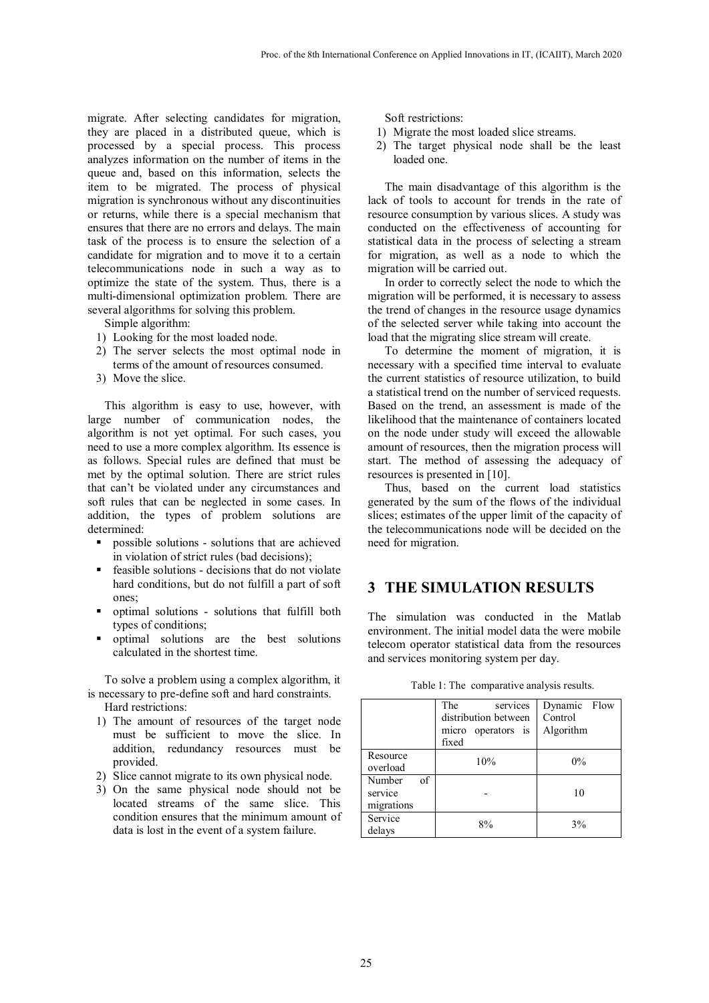migrate. After selecting candidates for migration, they are placed in a distributed queue, which is processed by a special process. This process analyzes information on the number of items in the queue and, based on this information, selects the item to be migrated. The process of physical migration is synchronous without any discontinuities or returns, while there is a special mechanism that ensures that there are no errors and delays. The main task of the process is to ensure the selection of a candidate for migration and to move it to a certain telecommunications node in such a way as to optimize the state of the system. Thus, there is a multi-dimensional optimization problem. There are several algorithms for solving this problem.

Simple algorithm:

- 1) Looking for the most loaded node.
- 2) The server selects the most optimal node in terms of the amount of resources consumed.
- 3) Move the slice.

This algorithm is easy to use, however, with large number of communication nodes, the algorithm is not yet optimal. For such cases, you need to use a more complex algorithm. Its essence is as follows. Special rules are defined that must be met by the optimal solution. There are strict rules that can't be violated under any circumstances and soft rules that can be neglected in some cases. In addition, the types of problem solutions are determined:

- possible solutions solutions that are achieved in violation of strict rules (bad decisions);
- feasible solutions decisions that do not violate hard conditions, but do not fulfill a part of soft ones;
- optimal solutions solutions that fulfill both types of conditions;
- optimal solutions are the best solutions calculated in the shortest time.

To solve a problem using a complex algorithm, it is necessary to pre-define soft and hard constraints. Hard restrictions:

- 1) The amount of resources of the target node must be sufficient to move the slice. In addition, redundancy resources must be provided.
- 2) Slice cannot migrate to its own physical node.
- 3) On the same physical node should not be located streams of the same slice. This condition ensures that the minimum amount of data is lost in the event of a system failure.

Soft restrictions:

- 1) Migrate the most loaded slice streams.
- 2) The target physical node shall be the least loaded one.

The main disadvantage of this algorithm is the lack of tools to account for trends in the rate of resource consumption by various slices. A study was conducted on the effectiveness of accounting for statistical data in the process of selecting a stream for migration, as well as a node to which the migration will be carried out.

In order to correctly select the node to which the migration will be performed, it is necessary to assess the trend of changes in the resource usage dynamics of the selected server while taking into account the load that the migrating slice stream will create.

To determine the moment of migration, it is necessary with a specified time interval to evaluate the current statistics of resource utilization, to build a statistical trend on the number of serviced requests. Based on the trend, an assessment is made of the likelihood that the maintenance of containers located on the node under study will exceed the allowable amount of resources, then the migration process will start. The method of assessing the adequacy of resources is presented in [10].

Thus, based on the current load statistics generated by the sum of the flows of the individual slices; estimates of the upper limit of the capacity of the telecommunications node will be decided on the need for migration.

#### **3 THE SIMULATION RESULTS**

The simulation was conducted in the Matlab environment. The initial model data the were mobile telecom operator statistical data from the resources and services monitoring system per day.

|                                       | The<br>services<br>distribution between<br>micro operators is<br>fixed | Dynamic Flow<br>Control<br>Algorithm |
|---------------------------------------|------------------------------------------------------------------------|--------------------------------------|
| Resource<br>overload                  | 10%                                                                    | $0\%$                                |
| of<br>Number<br>service<br>migrations |                                                                        | 10                                   |
| Service<br>delays                     | 8%                                                                     | 3%                                   |

Table 1: The comparative analysis results.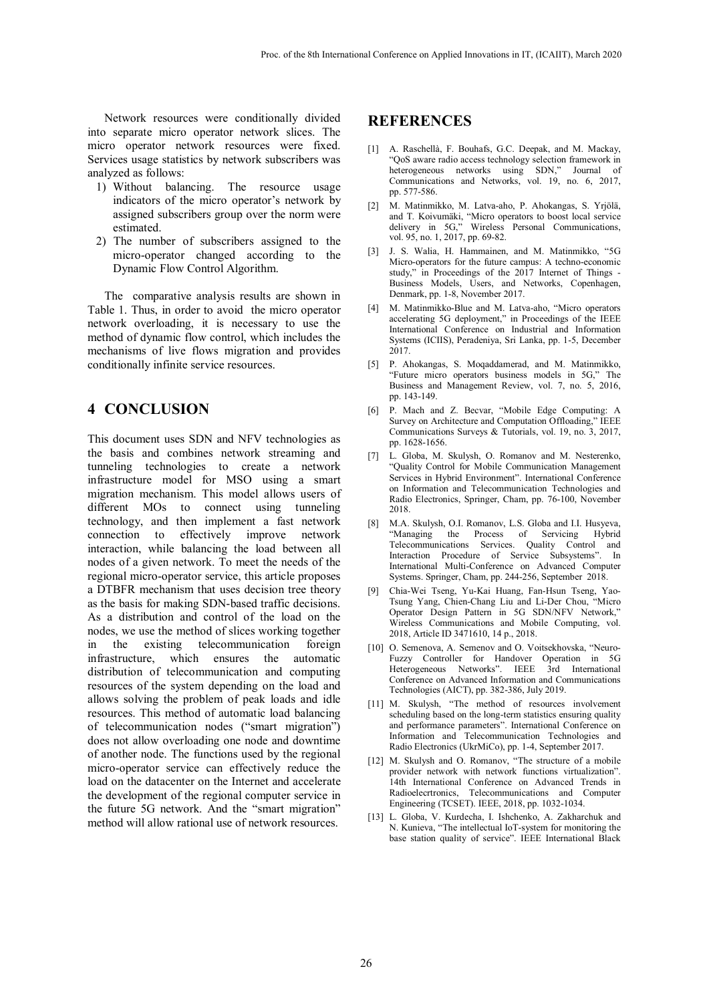Network resources were conditionally divided into separate micro operator network slices. The micro operator network resources were fixed. Services usage statistics by network subscribers was analyzed as follows:

- 1) Without balancing. The resource usage indicators of the micro operator's network by assigned subscribers group over the norm were estimated.
- 2) The number of subscribers assigned to the micro-operator changed according to the Dynamic Flow Control Algorithm.

The comparative analysis results are shown in Table 1. Thus, in order to avoid the micro operator network overloading, it is necessary to use the method of dynamic flow control, which includes the mechanisms of live flows migration and provides conditionally infinite service resources.

#### **4 CONCLUSION**

This document uses SDN and NFV technologies as the basis and combines network streaming and tunneling technologies to create a network infrastructure model for MSO using a smart migration mechanism. This model allows users of different MOs to connect using tunneling technology, and then implement a fast network connection to effectively improve network interaction, while balancing the load between all nodes of a given network. To meet the needs of the regional micro-operator service, this article proposes a DTBFR mechanism that uses decision tree theory as the basis for making SDN-based traffic decisions. As a distribution and control of the load on the nodes, we use the method of slices working together in the existing telecommunication foreign infrastructure, which ensures the automatic distribution of telecommunication and computing resources of the system depending on the load and allows solving the problem of peak loads and idle resources. This method of automatic load balancing of telecommunication nodes ("smart migration") does not allow overloading one node and downtime of another node. The functions used by the regional micro-operator service can effectively reduce the load on the datacenter on the Internet and accelerate the development of the regional computer service in the future 5G network. And the "smart migration" method will allow rational use of network resources.

### **REFERENCES**

- [1] A. Raschellà, F. Bouhafs, G.C. Deepak, and M. Mackay, "QoS aware radio access technology selection framework in heterogeneous networks using SDN," Journal of Communications and Networks, vol. 19, no. 6, 2017, pp. 577-586.
- [2] M. Matinmikko, M. Latva-aho, P. Ahokangas, S. Yrjölä, and T. Koivumäki, "Micro operators to boost local service delivery in 5G," Wireless Personal Communications, vol. 95, no. 1, 2017, pp. 69-82.
- [3] J. S. Walia, H. Hammainen, and M. Matinmikko, "5G Micro-operators for the future campus: A techno-economic study," in Proceedings of the 2017 Internet of Things - Business Models, Users, and Networks, Copenhagen, Denmark, pp. 1-8, November 2017.
- [4] M. Matinmikko-Blue and M. Latva-aho, "Micro operators accelerating 5G deployment," in Proceedings of the IEEE International Conference on Industrial and Information Systems (ICIIS), Peradeniya, Sri Lanka, pp. 1-5, December 2017.
- [5] P. Ahokangas, S. Moqaddamerad, and M. Matinmikko, "Future micro operators business models in 5G," The Business and Management Review, vol. 7, no. 5, 2016, pp. 143-149.
- [6] P. Mach and Z. Becvar, "Mobile Edge Computing: A Survey on Architecture and Computation Offloading," IEEE Communications Surveys & Tutorials, vol. 19, no. 3, 2017, pp. 1628-1656.
- [7] L. Globa, M. Skulysh, O. Romanov and M. Nesterenko, "Quality Control for Mobile Communication Management Services in Hybrid Environment". International Conference on Information and Telecommunication Technologies and Radio Electronics, Springer, Cham, pp. 76-100, November 2018.
- [8] M.A. Skulysh, O.I. Romanov, L.S. Globa and I.I. Husyeva, "Managing the Process of Servicing Hybrid Telecommunications Services. Quality Control and Interaction Procedure of Service Subsystems". In International Multi-Conference on Advanced Computer Systems. Springer, Cham, pp. 244-256, September 2018.
- [9] Chia-Wei Tseng, Yu-Kai Huang, Fan-Hsun Tseng, Yao-Tsung Yang, Chien-Chang Liu and Li-Der Chou, "Micro Operator Design Pattern in 5G SDN/NFV Network," Wireless Communications and Mobile Computing, vol. 2018, Article ID 3471610, 14 p., 2018.
- [10] O. Semenova, A. Semenov and O. Voitsekhovska, "Neuro-Fuzzy Controller for Handover Operation in 5G Heterogeneous Networks". IEEE 3rd International Conference on Advanced Information and Communications Technologies (AICT), pp. 382-386, July 2019.
- [11] M. Skulysh, "The method of resources involvement scheduling based on the long-term statistics ensuring quality and performance parameters". International Conference on Information and Telecommunication Technologies and Radio Electronics (UkrMiCo), pp. 1-4, September 2017.
- [12] M. Skulysh and O. Romanov, "The structure of a mobile provider network with network functions virtualization". 14th International Conference on Advanced Trends in Radioelecrtronics, Telecommunications and Computer Engineering (TCSET). IEEE, 2018, pp. 1032-1034.
- [13] L. Globa, V. Kurdecha, I. Ishchenko, A. Zakharchuk and N. Kunieva, "The intellectual IoT-system for monitoring the base station quality of service". IEEE International Black